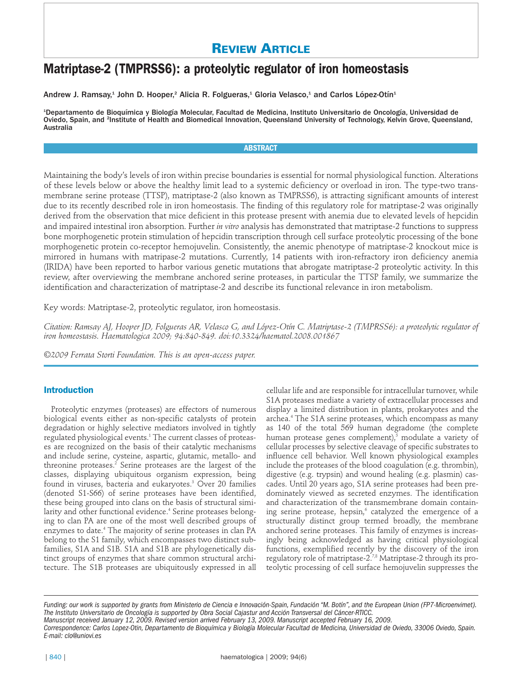# **REVIEW ARTICLE**

# **Matriptase-2 (TMPRSS6): a proteolytic regulator of iron homeostasis**

Andrew J. Ramsay,<sup>1</sup> John D. Hooper,<sup>2</sup> Alicia R. Folgueras,<sup>1</sup> Gloria Velasco,<sup>1</sup> and Carlos López-Otín<sup>1</sup>

1 Departamento de Bioquímica y Biología Molecular, Facultad de Medicina, Instituto Universitario de Oncología, Universidad de Oviedo, Spain, and <sup>2</sup>Institute of Health and Biomedical Innovation, Queensland University of Technology, Kelvin Grove, Queensland, Australia

# **ABSTRACT**

Maintaining the body's levels of iron within precise boundaries is essential for normal physiological function. Alterations of these levels below or above the healthy limit lead to a systemic deficiency or overload in iron. The type-two transmembrane serine protease (TTSP), matriptase-2 (also known as TMPRSS6), is attracting significant amounts of interest due to its recently described role in iron homeostasis. The finding of this regulatory role for matriptase-2 was originally derived from the observation that mice deficient in this protease present with anemia due to elevated levels of hepcidin and impaired intestinal iron absorption. Further *in vitro* analysis has demonstrated that matriptase-2 functions to suppress bone morphogenetic protein stimulation of hepcidin transcription through cell surface proteolytic processing of the bone morphogenetic protein co-receptor hemojuvelin. Consistently, the anemic phenotype of matriptase-2 knockout mice is mirrored in humans with matripase-2 mutations. Currently, 14 patients with iron-refractory iron deficiency anemia (IRIDA) have been reported to harbor various genetic mutations that abrogate matriptase-2 proteolytic activity. In this review, after overviewing the membrane anchored serine proteases, in particular the TTSP family, we summarize the identification and characterization of matriptase-2 and describe its functional relevance in iron metabolism.

Key words: Matriptase-2, proteolytic regulator, iron homeostasis.

*Citation: Ramsay AJ, Hooper JD, Folgueras AR, Velasco G, and López-Otín C. Matriptase-2 (TMPRSS6): a proteolytic regulator of iron homeostasis. Haematologica 2009; 94:840-849. doi:10.3324/haematol.2008.001867*

*©2009 Ferrata Storti Foundation. This is an open-access paper.* 

# **Introduction**

Proteolytic enzymes (proteases) are effectors of numerous biological events either as non-specific catalysts of protein degradation or highly selective mediators involved in tightly regulated physiological events.1 The current classes of proteases are recognized on the basis of their catalytic mechanisms and include serine, cysteine, aspartic, glutamic, metallo- and threonine proteases.<sup>2</sup> Serine proteases are the largest of the classes, displaying ubiquitous organism expression, being found in viruses, bacteria and eukaryotes.3 Over 20 families (denoted S1-S66) of serine proteases have been identified, these being grouped into clans on the basis of structural similarity and other functional evidence.<sup>4</sup> Serine proteases belonging to clan PA are one of the most well described groups of enzymes to date.4 The majority of serine proteases in clan PA belong to the S1 family, which encompasses two distinct subfamilies, S1A and S1B. S1A and S1B are phylogenetically distinct groups of enzymes that share common structural architecture. The S1B proteases are ubiquitously expressed in all

cellular life and are responsible for intracellular turnover, while S1A proteases mediate a variety of extracellular processes and display a limited distribution in plants, prokaryotes and the archea.4 The S1A serine proteases, which encompass as many as 140 of the total 569 human degradome (the complete human protease genes complement), $5$  modulate a variety of cellular processes by selective cleavage of specific substrates to influence cell behavior. Well known physiological examples include the proteases of the blood coagulation (e.g. thrombin), digestive (e.g. trypsin) and wound healing (e.g. plasmin) cascades. Until 20 years ago, S1A serine proteases had been predominately viewed as secreted enzymes. The identification and characterization of the transmembrane domain containing serine protease, hepsin,<sup>6</sup> catalyzed the emergence of a structurally distinct group termed broadly, the membrane anchored serine proteases. This family of enzymes is increasingly being acknowledged as having critical physiological functions, exemplified recently by the discovery of the iron regulatory role of matriptase-2.7,8 Matriptase-2 through its proteolytic processing of cell surface hemojuvelin suppresses the

*Funding: our work is supported by grants from Ministerio de Ciencia e Innovación-Spain, Fundación "M. Botín", and the European Union (FP7-Microenvimet). The Instituto Universitario de Oncología is supported by Obra Social Cajastur and Acción Transversal del Cáncer-RTICC. Manuscript received January 12, 2009. Revised version arrived February 13, 2009. Manuscript accepted February 16, 2009.*

*Correspondence: Carlos Lopez-Otin, Departamento de Bioquímica y Biología Molecular Facultad de Medicina, Universidad de Oviedo, 33006 Oviedo, Spain. E-mail: clo@uniovi.es*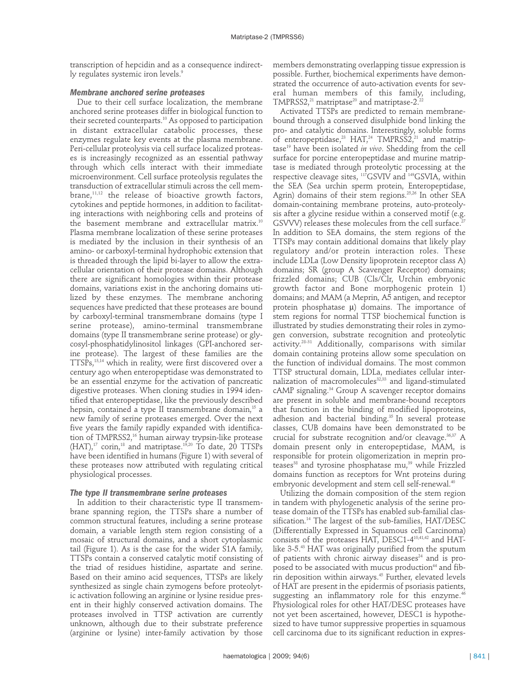transcription of hepcidin and as a consequence indirectly regulates systemic iron levels.<sup>9</sup>

# *Membrane anchored serine proteases*

Due to their cell surface localization, the membrane anchored serine proteases differ in biological function to their secreted counterparts.<sup>10</sup> As opposed to participation in distant extracellular catabolic processes, these enzymes regulate key events at the plasma membrane. Peri-cellular proteolysis via cell surface localized proteases is increasingly recognized as an essential pathway through which cells interact with their immediate microenvironment. Cell surface proteolysis regulates the transduction of extracellular stimuli across the cell membrane,<sup>11,12</sup> the release of bioactive growth factors, cytokines and peptide hormones, in addition to facilitating interactions with neighboring cells and proteins of the basement membrane and extracellular matrix.<sup>10</sup> Plasma membrane localization of these serine proteases is mediated by the inclusion in their synthesis of an amino- or carboxyl-terminal hydrophobic extension that is threaded through the lipid bi-layer to allow the extracellular orientation of their protease domains. Although there are significant homologies within their protease domains, variations exist in the anchoring domains utilized by these enzymes. The membrane anchoring sequences have predicted that these proteases are bound by carboxyl-terminal transmembrane domains (type I serine protease), amino-terminal transmembrane domains (type II transmembrane serine protease) or glycosyl-phosphatidylinositol linkages (GPI-anchored serine protease). The largest of these families are the TTSPs,13,14 which in reality, were first discovered over a century ago when enteropeptidase was demonstrated to be an essential enzyme for the activation of pancreatic digestive proteases. When cloning studies in 1994 identified that enteropeptidase, like the previously described hepsin, contained a type II transmembrane domain, $15$  a new family of serine proteases emerged. Over the next five years the family rapidly expanded with identification of TMPRSS2,16 human airway trypsin-like protease  $(HAT)$ ,<sup>17</sup> corin,<sup>18</sup> and matriptase.<sup>19,20</sup> To date, 20 TTSPs have been identified in humans (Figure 1) with several of these proteases now attributed with regulating critical physiological processes.

# *The type II transmembrane serine proteases*

In addition to their characteristic type II transmembrane spanning region, the TTSPs share a number of common structural features, including a serine protease domain, a variable length stem region consisting of a mosaic of structural domains, and a short cytoplasmic tail (Figure 1). As is the case for the wider S1A family, TTSPs contain a conserved catalytic motif consisting of the triad of residues histidine, aspartate and serine. Based on their amino acid sequences, TTSPs are likely synthesized as single chain zymogens before proteolytic activation following an arginine or lysine residue present in their highly conserved activation domains. The proteases involved in TTSP activation are currently unknown, although due to their substrate preference (arginine or lysine) inter-family activation by those

members demonstrating overlapping tissue expression is possible. Further, biochemical experiments have demonstrated the occurrence of auto-activation events for several human members of this family, including, TMPRSS2,<sup>21</sup> matriptase<sup>20</sup> and matriptase-2.<sup>22</sup>

Activated TTSPs are predicted to remain membranebound through a conserved disulphide bond linking the pro- and catalytic domains. Interestingly, soluble forms of enteropeptidase,<sup>23</sup> HAT,<sup>24</sup> TMPRSS2,<sup>21</sup> and matriptase19 have been isolated *in vivo*. Shedding from the cell surface for porcine enteropeptidase and murine matriptase is mediated through proteolytic processing at the respective cleavage sites,  $^{117}$ GSVIV and  $^{149}$ GSVIA, within the SEA (Sea urchin sperm protein, Enteropeptidase, Agrin) domains of their stem regions.<sup>25,26</sup> In other SEA domain-containing membrane proteins, auto-proteolysis after a glycine residue within a conserved motif (e.g. GSVVV) releases these molecules from the cell surface.<sup>2</sup> In addition to SEA domains, the stem regions of the TTSPs may contain additional domains that likely play regulatory and/or protein interaction roles. These include LDLa (Low Density lipoprotein receptor class A) domains; SR (group A Scavenger Receptor) domains; frizzled domains; CUB (Cls/Clr, Urchin embryonic growth factor and Bone morphogenic protein 1) domains; and MAM (a Meprin, A5 antigen, and receptor protein phosphatase  $\mu$ ) domains. The importance of stem regions for normal TTSP biochemical function is illustrated by studies demonstrating their roles in zymogen conversion, substrate recognition and proteolytic activity. 28-31 Additionally, comparisons with similar domain containing proteins allow some speculation on the function of individual domains. The most common TTSP structural domain, LDLa, mediates cellular internalization of macromolecules<sup>32,33</sup> and ligand-stimulated cAMP signaling.<sup>34</sup> Group A scavenger receptor domains are present in soluble and membrane-bound receptors that function in the binding of modified lipoproteins, adhesion and bacterial binding.35 In several protease classes, CUB domains have been demonstrated to be crucial for substrate recognition and/or cleavage.<sup>36,37</sup> A domain present only in enteropeptidase, MAM, is responsible for protein oligomerization in meprin proteases<sup>38</sup> and tyrosine phosphatase mu,<sup>39</sup> while Frizzled domains function as receptors for Wnt proteins during embryonic development and stem cell self-renewal.<sup>40</sup>

Utilizing the domain composition of the stem region in tandem with phylogenetic analysis of the serine protease domain of the TTSPs has enabled sub-familial classification.<sup>14</sup> The largest of the sub-families, HAT/DESC (Differentially Expressed in Squamous cell Carcinoma) consists of the proteases HAT, DESC1-410,41,42 and HATlike 3-5.43 HAT was originally purified from the sputum of patients with chronic airway diseases $24$  and is proposed to be associated with mucus production<sup>44</sup> and fibrin deposition within airways.45 Further, elevated levels of HAT are present in the epidermis of psoriasis patients, suggesting an inflammatory role for this enzyme.<sup>46</sup> Physiological roles for other HAT/DESC proteases have not yet been ascertained, however, DESC1 is hypothesized to have tumor suppressive properties in squamous cell carcinoma due to its significant reduction in expres-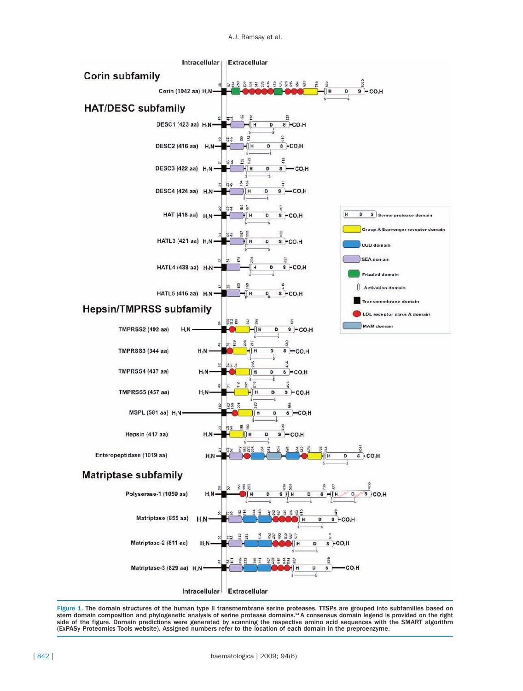

Figure 1. The domain structures of the human type II transmembrane serine proteases. TTSPs are grouped into subfamilies based on stem domain composition and phylogenetic analysis of serine protease domains.14 A consensus domain legend is provided on the right side of the figure. Domain predictions were generated by scanning the respective amino acid sequences with the SMART algorithm (ExPASy Proteomics Tools website). Assigned numbers refer to the location of each domain in the preproenzyme.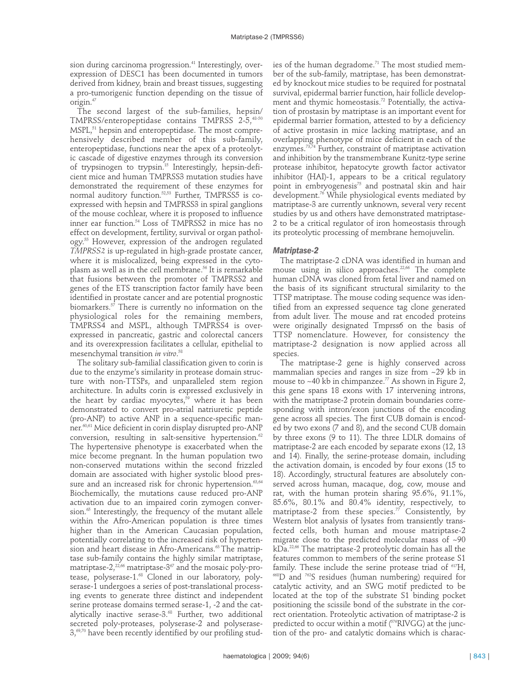sion during carcinoma progression.<sup>41</sup> Interestingly, overexpression of DESC1 has been documented in tumors derived from kidney, brain and breast tissues, suggesting a pro-tumorigenic function depending on the tissue of origin.47

The second largest of the sub-families, hepsin/ TMPRSS/enteropeptidase contains TMPRSS 2-5,48-50 MSPL,<sup>51</sup> hepsin and enteropeptidase. The most comprehensively described member of this sub-family, enteropeptidase, functions near the apex of a proteolytic cascade of digestive enzymes through its conversion of trypsinogen to trypsin.15 Interestingly, hepsin-deficient mice and human TMPRSS3 mutation studies have demonstrated the requirement of these enzymes for normal auditory function.<sup>52,53</sup> Further, TMPRSS5 is coexpressed with hepsin and TMPRSS3 in spiral ganglions of the mouse cochlear, where it is proposed to influence inner ear function.<sup>54</sup> Loss of TMPRSS2 in mice has no effect on development, fertility, survival or organ pathology.55 However, expression of the androgen regulated *TMPRSS2* is up-regulated in high-grade prostate cancer, where it is mislocalized, being expressed in the cytoplasm as well as in the cell membrane.<sup>56</sup> It is remarkable that fusions between the promoter of TMPRSS2 and genes of the ETS transcription factor family have been identified in prostate cancer and are potential prognostic biomarkers.<sup>57</sup> There is currently no information on the physiological roles for the remaining members, TMPRSS4 and MSPL, although TMPRSS4 is overexpressed in pancreatic, gastric and colorectal cancers and its overexpression facilitates a cellular, epithelial to mesenchymal transition *in vitro*. 58

The solitary sub-familial classification given to corin is due to the enzyme's similarity in protease domain structure with non-TTSPs, and unparalleled stem region architecture. In adults corin is expressed exclusively in the heart by cardiac myocytes, $59$  where it has been demonstrated to convert pro-atrial natriuretic peptide (pro-ANP) to active ANP in a sequence-specific manner.<sup>60,61</sup> Mice deficient in corin display disrupted pro-ANP conversion, resulting in salt-sensitive hypertension.<sup>62</sup> The hypertensive phenotype is exacerbated when the mice become pregnant. In the human population two non-conserved mutations within the second frizzled domain are associated with higher systolic blood pressure and an increased risk for chronic hypertension.<sup>63,64</sup> Biochemically, the mutations cause reduced pro-ANP activation due to an impaired corin zymogen conversion.<sup>65</sup> Interestingly, the frequency of the mutant allele within the Afro-American population is three times higher than in the American Caucasian population, potentially correlating to the increased risk of hypertension and heart disease in Afro-Americans.<sup>63</sup> The matriptase sub-family contains the highly similar matriptase, matriptase- $2^{22,66}$  matriptase- $3^{67}$  and the mosaic poly-protease, polyserase-1.<sup>68</sup> Cloned in our laboratory, polyserase-1 undergoes a series of post-translational processing events to generate three distinct and independent serine protease domains termed serase-1, -2 and the catalytically inactive serase-3.<sup>68</sup> Further, two additional secreted poly-proteases, polyserase-2 and polyserase- $3,69,70$  have been recently identified by our profiling studies of the human degradome.<sup>71</sup> The most studied member of the sub-family, matriptase, has been demonstrated by knockout mice studies to be required for postnatal survival, epidermal barrier function, hair follicle development and thymic homeostasis.<sup>72</sup> Potentially, the activation of prostasin by matriptase is an important event for epidermal barrier formation, attested to by a deficiency of active prostasin in mice lacking matriptase, and an overlapping phenotype of mice deficient in each of the enzymes. 73,74 Further, constraint of matriptase activation and inhibition by the transmembrane Kunitz-type serine protease inhibitor, hepatocyte growth factor activator inhibitor (HAI)-1, appears to be a critical regulatory point in embryogenesis $75$  and postnatal skin and hair development.76 While physiological events mediated by matriptase-3 are currently unknown, several very recent studies by us and others have demonstrated matriptase-2 to be a critical regulator of iron homeostasis through its proteolytic processing of membrane hemojuvelin.

# *Matriptase-2*

The matriptase-2 cDNA was identified in human and mouse using in silico approaches. $22,66$  The complete human cDNA was cloned from fetal liver and named on the basis of its significant structural similarity to the TTSP matriptase. The mouse coding sequence was identified from an expressed sequence tag clone generated from adult liver. The mouse and rat encoded proteins were originally designated Tmprss6 on the basis of TTSP nomenclature. However, for consistency the matriptase-2 designation is now applied across all species.

The matriptase-2 gene is highly conserved across mammalian species and ranges in size from ~29 kb in mouse to  $\sim$  40 kb in chimpanzee.<sup>77</sup> As shown in Figure 2, this gene spans 18 exons with 17 intervening introns, with the matriptase-2 protein domain boundaries corresponding with intron/exon junctions of the encoding gene across all species. The first CUB domain is encoded by two exons (7 and 8), and the second CUB domain by three exons (9 to 11). The three LDLR domains of matriptase-2 are each encoded by separate exons (12, 13 and 14). Finally, the serine-protease domain, including the activation domain, is encoded by four exons (15 to 18). Accordingly, structural features are absolutely conserved across human, macaque, dog, cow, mouse and rat, with the human protein sharing 95.6%, 91.1%, 85.6%, 80.1% and 80.4% identity, respectively, to matriptase-2 from these species.<sup>77</sup> Consistently, by Western blot analysis of lysates from transiently transfected cells, both human and mouse matriptase-2 migrate close to the predicted molecular mass of ~90 kDa.22,66 The matriptase-2 proteolytic domain has all the features common to members of the serine protease S1 family. These include the serine protease triad of <sup>617</sup>H, <sup>668</sup>D and <sup>762</sup>S residues (human numbering) required for catalytic activity, and an SWG motif predicted to be located at the top of the substrate S1 binding pocket positioning the scissile bond of the substrate in the correct orientation. Proteolytic activation of matriptase-2 is predicted to occur within a motif (<sup>576</sup>RIVGG) at the junction of the pro- and catalytic domains which is charac-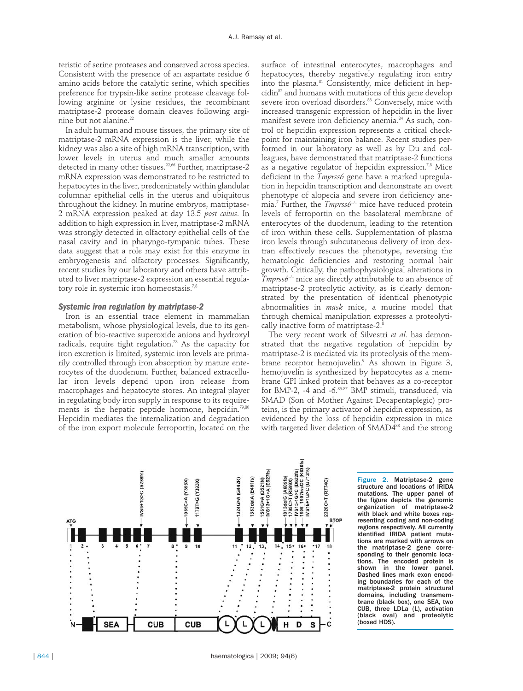teristic of serine proteases and conserved across species. Consistent with the presence of an aspartate residue 6 amino acids before the catalytic serine, which specifies preference for trypsin-like serine protease cleavage following arginine or lysine residues, the recombinant matriptase-2 protease domain cleaves following arginine but not alanine.<sup>22</sup>

In adult human and mouse tissues, the primary site of matriptase-2 mRNA expression is the liver, while the kidney was also a site of high mRNA transcription, with lower levels in uterus and much smaller amounts detected in many other tissues.<sup>22,66</sup> Further, matriptase-2 mRNA expression was demonstrated to be restricted to hepatocytes in the liver, predominately within glandular columnar epithelial cells in the uterus and ubiquitous throughout the kidney. In murine embryos, matriptase-2 mRNA expression peaked at day 13.5 *post coitus*. In addition to high expression in liver, matriptase-2 mRNA was strongly detected in olfactory epithelial cells of the nasal cavity and in pharyngo-tympanic tubes. These data suggest that a role may exist for this enzyme in embryogenesis and olfactory processes. Significantly, recent studies by our laboratory and others have attributed to liver matriptase-2 expression an essential regulatory role in systemic iron homeostasis.7,8

# *Systemic iron regulation by matriptase-2*

Iron is an essential trace element in mammalian metabolism, whose physiological levels, due to its generation of bio-reactive superoxide anions and hydroxyl radicals, require tight regulation.<sup>78</sup> As the capacity for iron excretion is limited, systemic iron levels are primarily controlled through iron absorption by mature enterocytes of the duodenum. Further, balanced extracellular iron levels depend upon iron release from macrophages and hepatocyte stores. An integral player in regulating body iron supply in response to its requirements is the hepatic peptide hormone, hepcidin.<sup>79,80</sup> Hepcidin mediates the internalization and degradation of the iron export molecule ferroportin, located on the

surface of intestinal enterocytes, macrophages and hepatocytes, thereby negatively regulating iron entry into the plasma.<sup>81</sup> Consistently, mice deficient in hepcidin<sup>82</sup> and humans with mutations of this gene develop severe iron overload disorders.<sup>83</sup> Conversely, mice with increased transgenic expression of hepcidin in the liver manifest severe iron deficiency anemia.<sup>84</sup> As such, control of hepcidin expression represents a critical checkpoint for maintaining iron balance. Recent studies performed in our laboratory as well as by Du and colleagues, have demonstrated that matriptase-2 functions as a negative regulator of hepcidin expression.<sup>7,8</sup> Mice deficient in the *Tmprss6* gene have a marked upregulation in hepcidin transcription and demonstrate an overt phenotype of alopecia and severe iron deficiency anemia.7 Further, the *Tmprss6*–/– mice have reduced protein levels of ferroportin on the basolateral membrane of enterocytes of the duodenum, leading to the retention of iron within these cells. Supplementation of plasma iron levels through subcutaneous delivery of iron dextran effectively rescues the phenotype, reversing the hematologic deficiencies and restoring normal hair growth. Critically, the pathophysiological alterations in *Tmprss6*–/– mice are directly attributable to an absence of matriptase-2 proteolytic activity, as is clearly demonstrated by the presentation of identical phenotypic abnormalities in *mask* mice, a murine model that through chemical manipulation expresses a proteolytically inactive form of matriptase-2.<sup>8</sup>

The very recent work of Silvestri *et al*. has demonstrated that the negative regulation of hepcidin by matriptase-2 is mediated via its proteolysis of the membrane receptor hemojuvelin.<sup>9</sup> As shown in Figure 3, hemojuvelin is synthesized by hepatocytes as a membrane GPI linked protein that behaves as a co-receptor for BMP-2, -4 and -6.85-87 BMP stimuli, transduced, via SMAD (Son of Mother Against Decapentaplegic) proteins, is the primary activator of hepcidin expression, as evidenced by the loss of hepcidin expression in mice with targeted liver deletion of SMAD4<sup>88</sup> and the strong



Figure 2. Matriptase-2 gene structure and locations of IRIDA mutations. The upper panel of the figure depicts the genomic organization of matriptase-2 with black and white boxes representing coding and non-coding regions respectively. All currently identified IRIDA patient mutations are marked with arrows on the matriptase-2 gene corresponding to their genomic locations. The encoded protein is shown in the lower panel. Dashed lines mark exon encoding boundaries for each of the matriptase-2 protein structural domains, including transmembrane (black box), one SEA, two CUB, three LDLa (L), activation (black oval) and proteolytic (boxed HDS).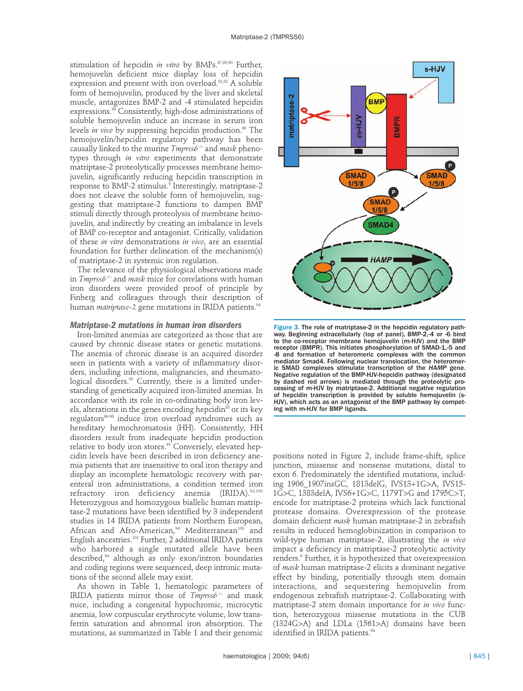stimulation of hepcidin *in vitro* by BMPs.<sup>87,89,90</sup> Further, hemojuvelin deficient mice display loss of hepcidin expression and present with iron overload.<sup>91,92</sup> A soluble form of hemojuvelin, produced by the liver and skeletal muscle, antagonizes BMP-2 and -4 stimulated hepcidin expressions.<sup>93</sup> Consistently, high-dose administrations of soluble hemojuvelin induce an increase in serum iron levels *in vivo* by suppressing hepcidin production.<sup>86</sup> The hemojuvelin/hepcidin regulatory pathway has been causally linked to the murine *Tmprss6–/–* and *mask* phenotypes through *in vitro* experiments that demonstrate matriptase-2 proteolytically processes membrane hemojuvelin, significantly reducing hepcidin transcription in response to BMP-2 stimulus.<sup>9</sup> Interestingly, matriptase-2 does not cleave the soluble form of hemojuvelin, suggesting that matriptase-2 functions to dampen BMP stimuli directly through proteolysis of membrane hemojuvelin, and indirectly by creating an imbalance in levels of BMP co-receptor and antagonist. Critically, validation of these *in vitro* demonstrations *in vivo*, are an essential foundation for further delineation of the mechanism(s) of matriptase-2 in systemic iron regulation.

The relevance of the physiological observations made in *Tmprss6–/–* and *mask* mice for correlations with human iron disorders were provided proof of principle by Finberg and colleagues through their description of human *matriptase-2* gene mutations in IRIDA patients.<sup>94</sup>

## *Matriptase-2 mutations in human iron disorders*

Iron-limited anemias are categorized as those that are caused by chronic disease states or genetic mutations. The anemia of chronic disease is an acquired disorder seen in patients with a variety of inflammatory disorders, including infections, malignancies, and rheumatological disorders.<sup>95</sup> Currently, there is a limited understanding of genetically acquired iron-limited anemias. In accordance with its role in co-ordinating body iron levels, alterations in the genes encoding hepcidin<sup>83</sup> or its key regulators<sup>96.98</sup> induce iron overload syndromes such as hereditary hemochromatosis (HH). Consistently, HH disorders result from inadequate hepcidin production relative to body iron stores.<sup>99</sup> Conversely, elevated hepcidin levels have been described in iron deficiency anemia patients that are insensitive to oral iron therapy and display an incomplete hematologic recovery with parenteral iron administrations, a condition termed iron refractory iron deficiency anemia (IRIDA).<sup>94,100</sup> Heterozygous and homozygous biallelic human matriptase-2 mutations have been identified by 3 independent studies in 14 IRIDA patients from Northern European, African and Afro-American,<sup>94</sup> Mediterranean<sup>100</sup> and English ancestries.101 Further, 2 additional IRIDA patients who harbored a single mutated allele have been described,<sup>94</sup> although as only exon/intron boundaries and coding regions were sequenced, deep intronic mutations of the second allele may exist.

As shown in Table 1, hematologic parameters of IRIDA patients mirror those of *Tmprss6*–/– and mask mice, including a congenital hypochromic, microcytic anemia, low corpuscular erythrocyte volume, low transferrin saturation and abnormal iron absorption. The mutations, as summarized in Table 1 and their genomic



Figure 3. The role of matriptase-2 in the hepcidin regulatory pathway. Beginning extracellularly (top of panel), BMP-2,-4 or -6 bind to the co-receptor membrane hemojuvelin (m-HJV) and the BMP receptor (BMPR). This initiates phosphorylation of SMAD-1,-5 and -8 and formation of heteromeric complexes with the common mediator Smad4. Following nuclear translocation, the heteromeric SMAD complexes stimulate transcription of the *HAMP* gene. Negative regulation of the BMP-HJV-hepcidin pathway (designated by dashed red arrows) is mediated through the proteolytic processing of m-HJV by matriptase-2. Additional negative regulation of hepcidin transcription is provided by soluble hemojuvelin (s-HJV), which acts as an antagonist of the BMP pathway by competing with m-HJV for BMP ligands.

positions noted in Figure 2, include frame-shift, splice junction, missense and nonsense mutations, distal to exon 6. Predominately the identified mutations, including 1906\_1907insGC, 1813delG, IVS13+1G>A, IVS15- 1G>C, 1383delA, IVS6+1G>C, 1179T>G and 1795C>T, encode for matriptase-2 proteins which lack functional protease domains. Overexpression of the protease domain deficient *mask* human matriptase-2 in zebrafish results in reduced hemoglobinization in comparison to wild-type human matriptase-2, illustrating the *in vivo* impact a deficiency in matriptase-2 proteolytic activity renders.9 Further, it is hypothesized that overexpression of *mask* human matriptase-2 elicits a dominant negative effect by binding, potentially through stem domain interactions, and sequestering hemojuvelin from endogenous zebrafish matriptase-2. Collaborating with matriptase-2 stem domain importance for *in vivo* function, heterozygous missense mutations in the CUB (1324G>A) and LDLa (1561>A) domains have been identified in IRIDA patients.<sup>94</sup>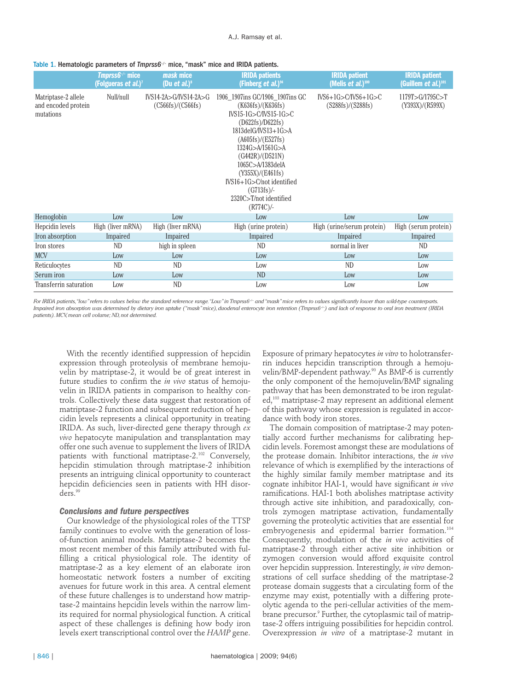### Table 1. Hematologic parameters of *Tmprss6<sup>-/-</sup>* mice, "mask" mice and IRIDA patients.

|                                                         | Tmprss6 <sup>-/-</sup> mice<br>(Folgueras <i>et al.</i> ) <sup>7</sup> | mask mice<br>(Du et al.) $^{\circ}$          | <b>IRIDA</b> patients<br>(Finberg <i>et al.</i> ) <sup>94</sup>                                                                                                                                                                                                                                                                            | <b>IRIDA</b> patient<br>(Melis et al.) $100$   | <b>IRIDA</b> patient<br>(Guillem et al.) $101$ |
|---------------------------------------------------------|------------------------------------------------------------------------|----------------------------------------------|--------------------------------------------------------------------------------------------------------------------------------------------------------------------------------------------------------------------------------------------------------------------------------------------------------------------------------------------|------------------------------------------------|------------------------------------------------|
| Matriptase-2 allele<br>and encoded protein<br>mutations | Null/null                                                              | $IVS14-2A>G/IVS14-2A>G$<br>(C566fs)/(C566fs) | 1906 1907 ins GC/1906 1907 ins GC<br>(K636fs)/(K636fs)<br>$IVS15-1G > C/IVS15-1G > C$<br>(D622fs)/D622fs)<br>$1813$ delG/IVS $13+1$ G $>$ A<br>(A605fs)/(E527fs)<br>1324G>A/1561G>A<br>(G442R)/(D521N)<br>1065C>A/1383delA<br>(Y355X)/(E461fs)<br>$IVS16+1G > C/not$ identified<br>$(G713fs)$ /-<br>2320C>T/not identified<br>$(R774C)$ /- | $IVS6+1G > C/IVS6+1G > C$<br>(S288fs)/(S288fs) | 1179T>G/1795C>T<br>(Y393X)/(R599X)             |
| Hemoglobin                                              | Low                                                                    | Low                                          | Low                                                                                                                                                                                                                                                                                                                                        | Low                                            | Low                                            |
| Hepcidin levels                                         | High (liver mRNA)                                                      | High (liver mRNA)                            | High (urine protein)                                                                                                                                                                                                                                                                                                                       | High (urine/serum protein)                     | High (serum protein)                           |
| Iron absorption                                         | Impaired                                                               | Impaired                                     | Impaired                                                                                                                                                                                                                                                                                                                                   | Impaired                                       | Impaired                                       |
| Iron stores                                             | ND                                                                     | high in spleen                               | ND.                                                                                                                                                                                                                                                                                                                                        | normal in liver                                | ND                                             |
| <b>MCV</b>                                              | Low                                                                    | Low                                          | Low                                                                                                                                                                                                                                                                                                                                        | Low                                            | Low                                            |
| Reticulocytes                                           | <b>ND</b>                                                              | <b>ND</b>                                    | Low                                                                                                                                                                                                                                                                                                                                        | <b>ND</b>                                      | Low                                            |
| Serum iron                                              | Low                                                                    | Low                                          | <b>ND</b>                                                                                                                                                                                                                                                                                                                                  | Low                                            | Low                                            |
| Transferrin saturation                                  | Low                                                                    | <b>ND</b>                                    | Low                                                                                                                                                                                                                                                                                                                                        | Low                                            | Low                                            |

For IRIDA patients, "low" refers to values below the standard reference range. "Low" in Tmprss6<sup>-/-</sup> and "mask" mice refers to values significantly lower than wild-type counterparts *Impaired iron absorption was determined by dietary iron uptake ("mask" mice), duodenal enterocyte iron retention (Tmprss6<sup>-/-</sup>) and lack of response to oral iron treatment (IRIDA patients).MCV,mean cell volume; ND,not determined.*

With the recently identified suppression of hepcidin expression through proteolysis of membrane hemojuvelin by matriptase-2, it would be of great interest in future studies to confirm the *in vivo* status of hemojuvelin in IRIDA patients in comparison to healthy controls. Collectively these data suggest that restoration of matriptase-2 function and subsequent reduction of hepcidin levels represents a clinical opportunity in treating IRIDA. As such, liver-directed gene therapy through *ex vivo* hepatocyte manipulation and transplantation may offer one such avenue to supplement the livers of IRIDA patients with functional matriptase-2.<sup>102</sup> Conversely, hepcidin stimulation through matriptase-2 inhibition presents an intriguing clinical opportunity to counteract hepcidin deficiencies seen in patients with HH disorders.99

## *Conclusions and future perspectives*

Our knowledge of the physiological roles of the TTSP family continues to evolve with the generation of lossof-function animal models. Matriptase-2 becomes the most recent member of this family attributed with fulfilling a critical physiological role. The identity of matriptase-2 as a key element of an elaborate iron homeostatic network fosters a number of exciting avenues for future work in this area. A central element of these future challenges is to understand how matriptase-2 maintains hepcidin levels within the narrow limits required for normal physiological function. A critical aspect of these challenges is defining how body iron levels exert transcriptional control over the *HAMP* gene.

Exposure of primary hepatocytes *in vitro* to holotransferrin induces hepcidin transcription through a hemojuvelin/BMP-dependent pathway. <sup>90</sup> As BMP-6 is currently the only component of the hemojuvelin/BMP signaling pathway that has been demonstrated to be iron regulated,<sup>103</sup> matriptase-2 may represent an additional element of this pathway whose expression is regulated in accordance with body iron stores.

The domain composition of matriptase-2 may potentially accord further mechanisms for calibrating hepcidin levels. Foremost amongst these are modulations of the protease domain. Inhibitor interactions, the *in vivo* relevance of which is exemplified by the interactions of the highly similar family member matriptase and its cognate inhibitor HAI-1, would have significant *in vivo* ramifications. HAI-1 both abolishes matriptase activity through active site inhibition, and paradoxically, controls zymogen matriptase activation, fundamentally governing the proteolytic activities that are essential for embryogenesis and epidermal barrier formation.<sup>104</sup> Consequently, modulation of the *in vivo* activities of matriptase-2 through either active site inhibition or zymogen conversion would afford exquisite control over hepcidin suppression. Interestingly, *in vitro* demonstrations of cell surface shedding of the matriptase-2 protease domain suggests that a circulating form of the enzyme may exist, potentially with a differing proteolytic agenda to the peri-cellular activities of the membrane precursor.<sup>9</sup> Further, the cytoplasmic tail of matriptase-2 offers intriguing possibilities for hepcidin control. Overexpression *in vitro* of a matriptase-2 mutant in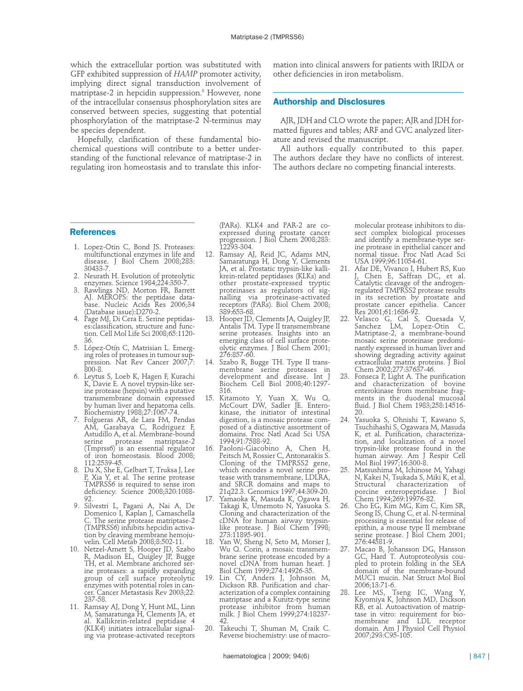which the extracellular portion was substituted with GFP exhibited suppression of *HAMP* promoter activity, implying direct signal transduction involvement of matriptase-2 in hepcidin suppression.<sup>8</sup> However, none of the intracellular consensus phosphorylation sites are conserved between species, suggesting that potential phosphorylation of the matriptase-2 N-terminus may be species dependent.

Hopefully, clarification of these fundamental biochemical questions will contribute to a better understanding of the functional relevance of matriptase-2 in regulating iron homeostasis and to translate this information into clinical answers for patients with IRIDA or other deficiencies in iron metabolism.

### **Authorship and Disclosures**

AJR, JDH and CLO wrote the paper; AJR and JDH formatted figures and tables; ARF and GVC analyzed literature and revised the manuscript.

All authors equally contributed to this paper. The authors declare they have no conflicts of interest. The authors declare no competing financial interests.

#### **References**

- 1. Lopez-Otin C, Bond JS. Proteases: multifunctional enzymes in life and disease. J Biol Chem 2008;283: 30433-7.
- 2. Neurath H. Evolution of proteolytic
- enzymes. Science 1984;224:350-7. 3. Rawlings ND, Morton FR, Barrett AJ. MEROPS: the peptidase database. Nucleic Acids Res 2006;34 (Database issue):D270-2.
- 4. Page MJ, Di Cera E. Serine peptidases:classification, structure and function. Cell Mol Life Sci 2008;65:1120- 36.
- 5. López-Otín C, Matrisian L. Emerging roles of proteases in tumour suppression. Nat Rev Cancer 2007;7: 800-8.
- 6. Leytus S, Loeb K, Hagen F, Kurachi K, Davie E. A novel trypsin-like serine protease (hepsin) with a putative transmembrane domain expressed by human liver and hepatoma cells. Biochemistry 1988;27:1067-74.
- 7. Folgueras AR, de Lara FM, Pendas AM, Garabaya C, Rodriguez F, Astudillo A, et al. Membrane-bound serine protease matriptase-2 (Tmprss6) is an essential regulator of iron homeostasis. Blood 2008; 112:2539-45.
- 8. Du X, She E, Gelbart T, Truksa J, Lee P, Xia Y, et al. The serine protease TMPRSS6 is required to sense iron deficiency. Science 2008;320:1088- 92.
- 9. Silvestri L, Pagani A, Nai A, De Domenico I, Kaplan J, Camaschella C. The serine protease matriptase-2 (TMPRSS6) inhibits hepcidin activation by cleaving membrane hemojuvelin. Cell Metab 2008;8:502-11.
- 10. Netzel-Arnett S, Hooper JD, Szabo R, Madison EL, Quigley JP, Bugge TH, et al. Membrane anchored serine proteases: a rapidly expanding group of cell surface proteolytic enzymes with potential roles in cancer. Cancer Metastasis Rev 2003;22: 237-58.
- 11. Ramsay AJ, Dong Y, Hunt ML, Linn M, Samaratunga H, Clements JA, et Kallikrein-related peptidase 4 (KLK4) initiates intracellular signaling via protease-activated receptors

(PARs). KLK4 and PAR-2 are coexpressed during prostate cancer progression. J Biol Chem 2008;283: 12293-304.

- 12. Ramsay AJ, Reid JC, Adams MN, Samaratunga H, Dong Y, Clements JA, et al. Prostatic trypsin-like kallikrein-related peptidases (KLKs) and other prostate-expressed tryptic proteinases as regulators of signalling via proteinase-activated receptors (PARs). Biol Chem 2008; 389:653-68.
- 13. Hooper JD, Clements JA, Quigley JP, Antalis TM. Type II transmembrane serine proteases. Insights into an emerging class of cell surface proteolytic enzymes. J Biol Chem 2001; 276:857-60.
- 14. Szabo R, Bugge TH. Type II transmembrane serine proteases in development and disease. Int J Biochem Cell Biol 2008;40:1297- 316.
- 15. Kitamoto Y, Yuan X, Wu Q, McCourt DW, Sadler JE. Enterokinase, the initiator of intestinal digestion, is a mosaic protease composed of a distinctive assortment of domains. Proc Natl Acad Sci USA 1994;91:7588-92.
- 16. Paoloni-Giacobino A, Chen H, Peitsch M, Rossier C, Antonarakis S. Cloning of the TMPRSS2 gene, which encodes a novel serine protease with transmembrane, LDLRA, and SRCR domains and maps to<br>21q22.3. Genomics 1997;44:309-20.
- 17. Yamaoka K, Masuda K, Ogawa H, Takagi K, Umemoto N, Yasuoka S. Cloning and characterization of the cDNA for human airway trypsinlike protease. J Biol Chem 1998; 273:11895-901.
- 18. Yan W, Sheng N, Seto M, Morser J, Wu Q. Corin, a mosaic transmembrane serine protease encoded by a novel cDNA from human heart. J Biol Chem 1999;274:14926-35.
- 19. Lin CY, Anders J, Johnson M, Dickson RB. Purification and characterization of a complex containing matriptase and a Kunitz-type serine protease inhibitor from human milk. J Biol Chem 1999;274:18237- 42.
- 20. Takeuchi T, Shuman M, Craik C. Reverse biochemistry: use of macro-

molecular protease inhibitors to dissect complex biological processes and identify a membrane-type serine protease in epithelial cancer and normal tissue. Proc Natl Acad Sci USA 1999;96:11054-61.

- 21. Afar DE, Vivanco I, Hubert RS, Kuo J, Chen E, Saffran DC, et al. Catalytic cleavage of the androgenregulated TMPRSS2 protease results in its secretion by prostate and prostate cancer epithelia. Cancer Res 2001;61:1686-92.
- 22. Velasco G, Cal S, Quesada V, Sanchez LM, Lopez-Otin C. Matriptase-2, a membrane-bound mosaic serine proteinase predominantly expressed in human liver and showing degrading activity against extracellular matrix proteins. J Biol Chem 2002;277:37637-46.
- 23. Fonseca P, Light A. The purification and characterization of bovine enterokinase from membrane fragments in the duodenal mucosal fluid. J Biol Chem 1983;258:14516- 20.
- 24. Yasuoka S, Ohnishi T, Kawano S, Tsuchihashi S, Ogawara M, Masuda K, et al. Purification, characterization, and localization of a novel trypsin-like protease found in the human airway. Am J Respir Cell Mol Biol 1997;16:300-8.
- 25. Matsushima M, Ichinose M, Yahagi N, Kakei N, Tsukada S, Miki K, et al. characterization porcine enteropeptidase. J Biol Chem 1994;269:19976-82.
- 26. Cho EG, Kim MG, Kim C, Kim SR, Seong IS, Chung C, et al. N-terminal processing is essential for release of epithin, a mouse type II membrane serine protease. J Biol Chem 2001; 276:44581-9.
- 27. Macao B, Johansson DG, Hansson GC, Hard T. Autoproteolysis coupled to protein folding in the SEA domain of the membrane-bound MUC1 mucin. Nat Struct Mol Biol 2006;13:71-6.
- 28. Lee MS, Tseng IC, Wang Y, Kiyomiya K, Johnson MD, Dickson RB, et al. Autoactivation of matriptase in vitro: requirement for biomembrane and LDL receptor domain. Am J Physiol Cell Physiol 2007;293:C95-105.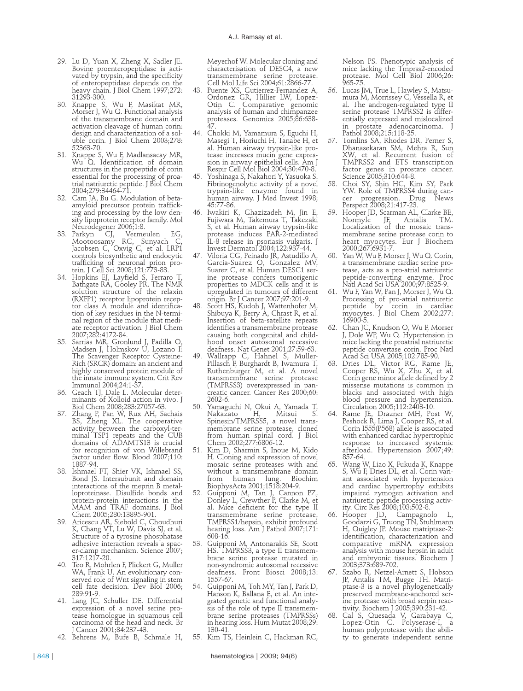- 29. Lu D, Yuan X, Zheng X, Sadler JE. Bovine proenteropeptidase is activated by trypsin, and the specificity of enteropeptidase depends on the heavy chain. J Biol Chem 1997;272: 31293-300.
- 30. Knappe S, Wu F, Masikat MR, Morser J, Wu Q. Functional analysis of the transmembrane domain and activation cleavage of human corin: design and characterization of a soluble corin. J Biol Chem 2003;278: 52363-70.
- 31. Knappe S, Wu F, Madlansacay MR, Wu Q. Identification of domain structures in the propeptide of corin essential for the processing of proatrial natriuretic peptide. J Biol Chem 2004;279:34464-71.
- 32. Cam JA, Bu G. Modulation of betaamyloid precursor protein trafficking and processing by the low density lipoprotein receptor family. Mol
- Neurodegener 2006;1:8.<br>33. Parkyn CJ, Vermeulen EG, 33. Parkyn CJ, Vermeulen EG, Mootoosamy RC, Sunyach C, Jacobsen C, Oxvig C, et al. LRP1 controls biosynthetic and endocytic trafficking of neuronal prion protein. J Cell Sci 2008;121:773-83.
- 34. Hopkins EJ, Layfield S, Ferraro T, Bathgate RA, Gooley PR. The NMR solution structure of the relaxin (RXFP1) receptor lipoprotein receptor class A module and identification of key residues in the N-terminal region of the module that mediate receptor activation. J Biol Chem 2007;282:4172-84.
- 35. Sarrias MR, Gronlund J, Padilla O, Madsen J, Holmskov U, Lozano F. The Scavenger Receptor Cysteine-Rich (SRCR) domain: an ancient and highly conserved protein module of the innate immune system. Crit Rev Immunol 2004;24:1-37.
- 36. Geach TJ, Dale L. Molecular determinants of Xolloid action in vivo. J Biol Chem 2008;283:27057-63.
- 37. Zhang P, Pan W, Rux AH, Sachais BS, Zheng XL. The cooperative activity between the carboxyl-terminal TSP1 repeats and the CUB domains of ADAMTS13 is crucial for recognition of von Willebrand factor under flow. Blood 2007;110: 1887-94.
- 38. Ishmael FT, Shier VK, Ishmael SS, Bond JS. Intersubunit and domain interactions of the meprin B metalloproteinase. Disulfide bonds and protein-protein interactions in the MAM and TRAF domains. J Biol Chem 2005;280:13895-901.
- 39. Aricescu AR, Siebold C, Choudhuri K, Chang VT, Lu W, Davis SJ, et al. Structure of a tyrosine phosphatase adhesive interaction reveals a spacer-clamp mechanism. Science 2007; 317:1217-20.
- 40. Teo R, Mohrlen F, Plickert G, Muller WA, Frank U. An evolutionary conserved role of Wnt signaling in stem cell fate decision. Dev Biol 2006; 289:91-9.
- 41. Lang JC, Schuller DE. Differential expression of a novel serine protease homologue in squamous cell carcinoma of the head and neck. Br J Cancer 2001;84:237-43.
- 42. Behrens M, Bufe B, Schmale H,

Meyerhof W. Molecular cloning and characterisation of DESC4, a new transmembrane serine protease. Cell Mol Life Sci 2004;61:2866-77.

- Puente XS, Gutierrez-Fernandez A, Ordonez GR, Hillier LW, Lopez-Otin C. Comparative genomic analysis of human and chimpanzee proteases. Genomics 2005;86:638- 47.
- 44. Chokki M, Yamamura S, Eguchi H, Masegi T, Horiuchi H, Tanabe H, et al. Human airway trypsin-like protease increases mucin gene expression in airway epithelial cells. Am J Respir Cell Mol Biol 2004;30:470-8.
- 45. Yoshinaga S, Nakahori Y, Yasuoka S. Fibrinogenolytic activity of a novel trypsin-like enzyme found in human airway. J Med Invest 1998; 45:77-86.
- 46. Iwakiri K, Ghazizadeh M, Jin E, Fujiwara M, Takemura T, Takezaki S, et al. Human airway trypsin-like protease induces PAR-2-mediated IL-8 release in psoriasis vulgaris. J Invest Dermatol 2004;122:937-44.
- 47. Viloria CG, Peinado JR, Astudillo A, Garcia-Suarez O, Gonzalez MV, Suarez C, et al. Human DESC1 serine protease confers tumorigenic properties to MDCK cells and it is upregulated in tumours of different origin. Br J Cancer 2007;97:201-9.
- Scott HS, Kudoh J, Wattenhofer M, Shibuya K, Berry A, Chrast R, et al. Insertion of beta-satellite repeats identifies a transmembrane protease causing both congenital and childhood onset autosomal recessive deafness. Nat Genet 2001;27:59-63.
- 49. Wallrapp C, Hahnel S, Muller-Pillasch F, Burghardt B, Iwamura T, Ruthenburger M, et al. A novel transmembrane serine protease (TMPRSS3) overexpressed in pancreatic cancer. Cancer Res 2000;60: 2602-6.
- 50. Yamaguchi N, Okui A, Yamada T, Nakazato H, Mitsui S. Spinesin/TMPRSS5, a novel transmembrane serine protease, cloned from human spinal cord. J Biol Chem 2002;277:6806-12.
- 51. Kim D, Sharmin S, Inoue M, Kido H. Cloning and expression of novel mosaic serine proteases with and without a transmembrane domain<br>from human lung. Biochim human BiophysActa 2001;1518:204-9.
- 52. Guipponi M, Tan J, Cannon PZ, Donley L, Crewther P, Clarke M, et al. Mice deficient for the type II transmembrane serine protease, TMPRSS1/hepsin, exhibit profound hearing loss. Am J Pathol 2007;171: 608-16.
- 53. Guipponi M, Antonarakis SE, Scott HS. TMPRSS3, a type II transmembrane serine protease mutated in non-syndromic autosomal recessive deafness. Front Biosci 2008;13: 1557-67.
- 54. Guipponi M, Toh MY, Tan J, Park D, Hanson K, Ballana E, et al. An integrated genetic and functional analysis of the role of type II transmembrane serine proteases (TMPRSSs) in hearing loss. Hum Mutat 2008;29: 130-41.
- 55. Kim TS, Heinlein C, Hackman RC,

Nelson PS. Phenotypic analysis of mice lacking the Tmprss2-encoded protease. Mol Cell Biol 2006;26: 965-75.

- 56. Lucas JM, True L, Hawley S, Matsumura M, Morrissey C, Vessella R, et al. The androgen-regulated type II serine protease TMPRSS2 is differentially expressed and mislocalized in prostate adenocarcinoma. J Pathol 2008;215:118-25.
	- 57. Tomlins SA, Rhodes DR, Perner S, Dhanasekaran SM, Mehra R, Sun XW, et al. Recurrent fusion of TMPRSS2 and ETS transcription factor genes in prostate cancer. Science 2005;310:644-8.
- 58. Choi SY, Shin HC, Kim SY, Park YW. Role of TMPRSS4 during cancer progression. Drug News er progression. Drug<br>Perspect 2008;21:417-23.
- 59. Hooper JD, Scarman AL, Clarke BE, Normyle JF, Antalis TM. Localization of the mosaic transmembrane serine protease corin to heart myocytes. Eur J Biochem 2000;267:6931-7.
- Yan W, Wu F, Morser J, Wu Q. Corin, a transmembrane cardiac serine protease, acts as a pro-atrial natriuretic peptide-converting enzyme. Proc Natl Acad Sci USA 2000;97:8525-9.
- 61. Wu F, Yan W, Pan J, Morser J, Wu Q. Processing of pro-atrial natriuretic peptide by corin in cardiac myocytes. J Biol Chem 2002;277: 16900-5.
- 62. Chan JC, Knudson O, Wu F, Morser J, Dole WP, Wu Q. Hypertension in mice lacking the proatrial natriuretic peptide convertase corin. Proc Natl Acad Sci USA 2005;102:785-90.
- 63. Dries DL, Victor RG, Rame JE, Cooper RS, Wu X, Zhu X, et al. Corin gene minor allele defined by 2 missense mutations is common in blacks and associated with high blood pressure and hypertension. Circulation 2005;112:2403-10.
- 64. Rame JE, Drazner MH, Post W, Peshock R, Lima J, Cooper RS, et al. Corin I555(P568) allele is associated with enhanced cardiac hypertrophic response to increased systemic afterload. Hypertension 2007;49: 857-64.
- Wang W, Liao X, Fukuda K, Knappe S, Wu F, Dries DL, et al. Corin variant associated with hypertension and cardiac hypertrophy exhibits impaired zymogen activation and natriuretic peptide processing activity. Circ Res 2008;103:502-8.
- 66. Hooper JD, Campagnolo L, Goodarzi G, Truong TN, Stuhlmann H, Quigley JP. Mouse matriptase-2: identification, characterization and comparative mRNA expression analysis with mouse hepsin in adult and embryonic tissues. Biochem J 2003;373:689-702.
- 67. Szabo R, Netzel-Arnett S, Hobson JP, Antalis TM, Bugge TH. Matriptase-3 is a novel phylogenetically preserved membrane-anchored serine protease with broad serpin reactivity. Biochem J 2005;390:231-42.
- 68. Cal S, Quesada V, Garabaya C, Lopez-Otin C. Polyserase-I, a human polyprotease with the ability to generate independent serine